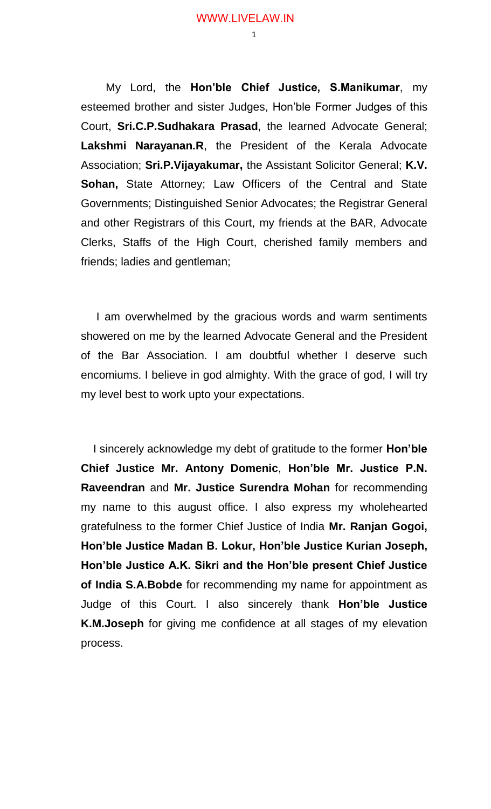My Lord, the **Hon'ble Chief Justice, S.Manikumar**, my esteemed brother and sister Judges, Hon'ble Former Judges of this Court, **Sri.C.P.Sudhakara Prasad**, the learned Advocate General; **Lakshmi Narayanan.R**, the President of the Kerala Advocate Association; **Sri.P.Vijayakumar,** the Assistant Solicitor General; **K.V. Sohan,** State Attorney; Law Officers of the Central and State Governments; Distinguished Senior Advocates; the Registrar General and other Registrars of this Court, my friends at the BAR, Advocate Clerks, Staffs of the High Court, cherished family members and friends; ladies and gentleman;

 I am overwhelmed by the gracious words and warm sentiments showered on me by the learned Advocate General and the President of the Bar Association. I am doubtful whether I deserve such encomiums. I believe in god almighty. With the grace of god, I will try my level best to work upto your expectations.

 I sincerely acknowledge my debt of gratitude to the former **Hon'ble Chief Justice Mr. Antony Domenic**, **Hon'ble Mr. Justice P.N. Raveendran** and **Mr. Justice Surendra Mohan** for recommending my name to this august office. I also express my wholehearted gratefulness to the former Chief Justice of India **Mr. Ranjan Gogoi, Hon'ble Justice Madan B. Lokur, Hon'ble Justice Kurian Joseph, Hon'ble Justice A.K. Sikri and the Hon'ble present Chief Justice of India S.A.Bobde** for recommending my name for appointment as Judge of this Court. I also sincerely thank **Hon'ble Justice K.M.Joseph** for giving me confidence at all stages of my elevation process.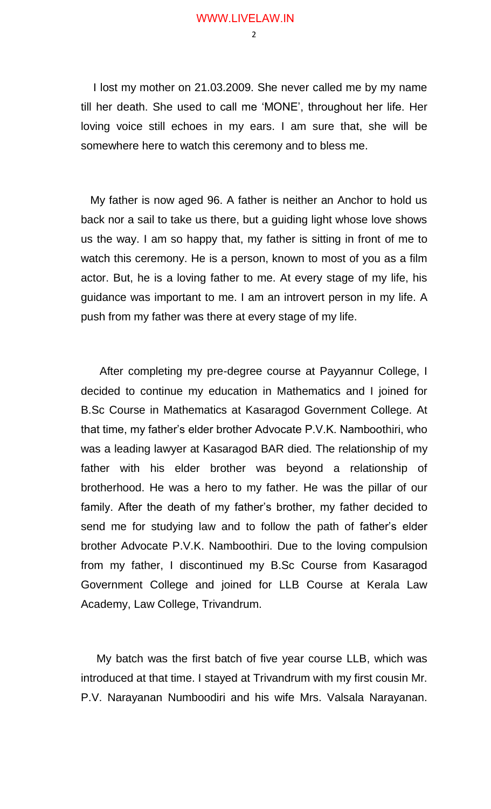$\mathcal{L}$ 

 I lost my mother on 21.03.2009. She never called me by my name till her death. She used to call me 'MONE', throughout her life. Her loving voice still echoes in my ears. I am sure that, she will be somewhere here to watch this ceremony and to bless me.

 My father is now aged 96. A father is neither an Anchor to hold us back nor a sail to take us there, but a guiding light whose love shows us the way. I am so happy that, my father is sitting in front of me to watch this ceremony. He is a person, known to most of you as a film actor. But, he is a loving father to me. At every stage of my life, his guidance was important to me. I am an introvert person in my life. A push from my father was there at every stage of my life.

 After completing my pre-degree course at Payyannur College, I decided to continue my education in Mathematics and I joined for B.Sc Course in Mathematics at Kasaragod Government College. At that time, my father's elder brother Advocate P.V.K. Namboothiri, who was a leading lawyer at Kasaragod BAR died. The relationship of my father with his elder brother was beyond a relationship of brotherhood. He was a hero to my father. He was the pillar of our family. After the death of my father's brother, my father decided to send me for studying law and to follow the path of father's elder brother Advocate P.V.K. Namboothiri. Due to the loving compulsion from my father, I discontinued my B.Sc Course from Kasaragod Government College and joined for LLB Course at Kerala Law Academy, Law College, Trivandrum.

 My batch was the first batch of five year course LLB, which was introduced at that time. I stayed at Trivandrum with my first cousin Mr. P.V. Narayanan Numboodiri and his wife Mrs. Valsala Narayanan.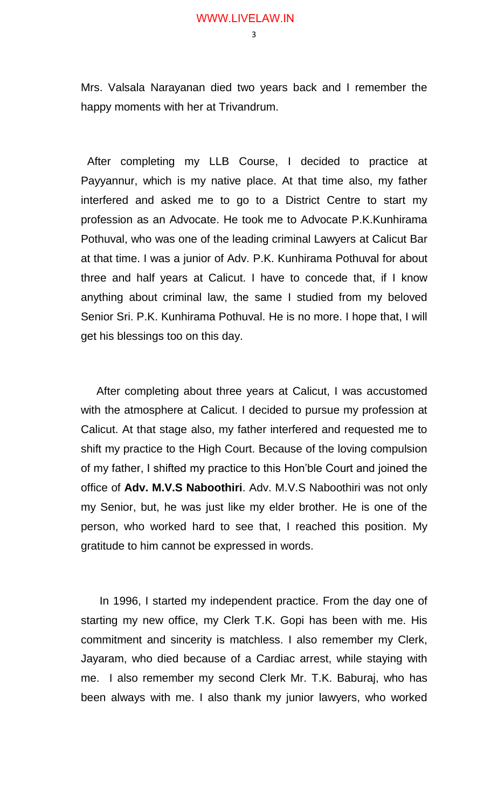Mrs. Valsala Narayanan died two years back and I remember the happy moments with her at Trivandrum.

 After completing my LLB Course, I decided to practice at Payyannur, which is my native place. At that time also, my father interfered and asked me to go to a District Centre to start my profession as an Advocate. He took me to Advocate P.K.Kunhirama Pothuval, who was one of the leading criminal Lawyers at Calicut Bar at that time. I was a junior of Adv. P.K. Kunhirama Pothuval for about three and half years at Calicut. I have to concede that, if I know anything about criminal law, the same I studied from my beloved Senior Sri. P.K. Kunhirama Pothuval. He is no more. I hope that, I will get his blessings too on this day.

 After completing about three years at Calicut, I was accustomed with the atmosphere at Calicut. I decided to pursue my profession at Calicut. At that stage also, my father interfered and requested me to shift my practice to the High Court. Because of the loving compulsion of my father, I shifted my practice to this Hon'ble Court and joined the office of **Adv. M.V.S Naboothiri**. Adv. M.V.S Naboothiri was not only my Senior, but, he was just like my elder brother. He is one of the person, who worked hard to see that, I reached this position. My gratitude to him cannot be expressed in words.

 In 1996, I started my independent practice. From the day one of starting my new office, my Clerk T.K. Gopi has been with me. His commitment and sincerity is matchless. I also remember my Clerk, Jayaram, who died because of a Cardiac arrest, while staying with me. I also remember my second Clerk Mr. T.K. Baburaj, who has been always with me. I also thank my junior lawyers, who worked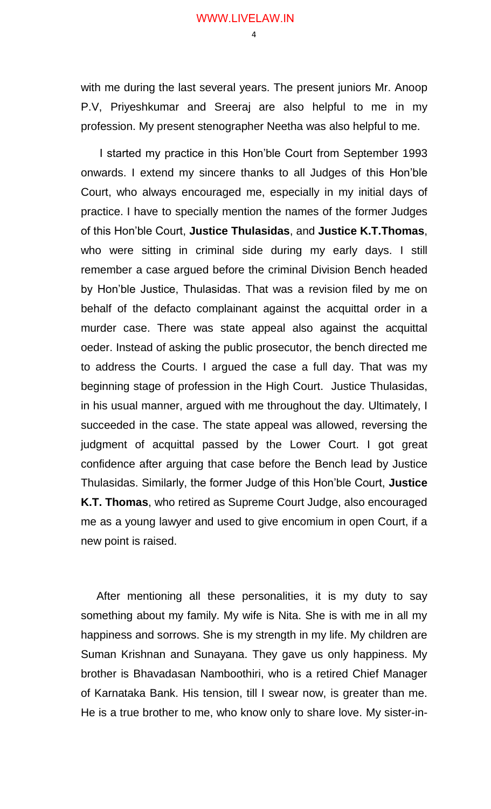$\Lambda$ 

with me during the last several years. The present juniors Mr. Anoop P.V, Priyeshkumar and Sreeraj are also helpful to me in my profession. My present stenographer Neetha was also helpful to me.

 I started my practice in this Hon'ble Court from September 1993 onwards. I extend my sincere thanks to all Judges of this Hon'ble Court, who always encouraged me, especially in my initial days of practice. I have to specially mention the names of the former Judges of this Hon'ble Court, **Justice Thulasidas**, and **Justice K.T.Thomas**, who were sitting in criminal side during my early days. I still remember a case argued before the criminal Division Bench headed by Hon'ble Justice, Thulasidas. That was a revision filed by me on behalf of the defacto complainant against the acquittal order in a murder case. There was state appeal also against the acquittal oeder. Instead of asking the public prosecutor, the bench directed me to address the Courts. I argued the case a full day. That was my beginning stage of profession in the High Court. Justice Thulasidas, in his usual manner, argued with me throughout the day. Ultimately, I succeeded in the case. The state appeal was allowed, reversing the judgment of acquittal passed by the Lower Court. I got great confidence after arguing that case before the Bench lead by Justice Thulasidas. Similarly, the former Judge of this Hon'ble Court, **Justice K.T. Thomas**, who retired as Supreme Court Judge, also encouraged me as a young lawyer and used to give encomium in open Court, if a new point is raised.

 After mentioning all these personalities, it is my duty to say something about my family. My wife is Nita. She is with me in all my happiness and sorrows. She is my strength in my life. My children are Suman Krishnan and Sunayana. They gave us only happiness. My brother is Bhavadasan Namboothiri, who is a retired Chief Manager of Karnataka Bank. His tension, till I swear now, is greater than me. He is a true brother to me, who know only to share love. My sister-in-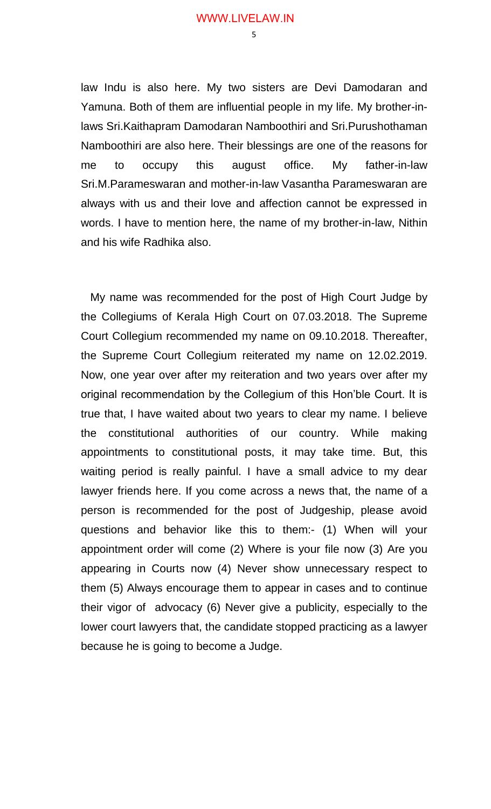law Indu is also here. My two sisters are Devi Damodaran and Yamuna. Both of them are influential people in my life. My brother-inlaws Sri.Kaithapram Damodaran Namboothiri and Sri.Purushothaman Namboothiri are also here. Their blessings are one of the reasons for me to occupy this august office. My father-in-law Sri.M.Parameswaran and mother-in-law Vasantha Parameswaran are always with us and their love and affection cannot be expressed in words. I have to mention here, the name of my brother-in-law, Nithin and his wife Radhika also.

 My name was recommended for the post of High Court Judge by the Collegiums of Kerala High Court on 07.03.2018. The Supreme Court Collegium recommended my name on 09.10.2018. Thereafter, the Supreme Court Collegium reiterated my name on 12.02.2019. Now, one year over after my reiteration and two years over after my original recommendation by the Collegium of this Hon'ble Court. It is true that, I have waited about two years to clear my name. I believe the constitutional authorities of our country. While making appointments to constitutional posts, it may take time. But, this waiting period is really painful. I have a small advice to my dear lawyer friends here. If you come across a news that, the name of a person is recommended for the post of Judgeship, please avoid questions and behavior like this to them:- (1) When will your appointment order will come (2) Where is your file now (3) Are you appearing in Courts now (4) Never show unnecessary respect to them (5) Always encourage them to appear in cases and to continue their vigor of advocacy (6) Never give a publicity, especially to the lower court lawyers that, the candidate stopped practicing as a lawyer because he is going to become a Judge.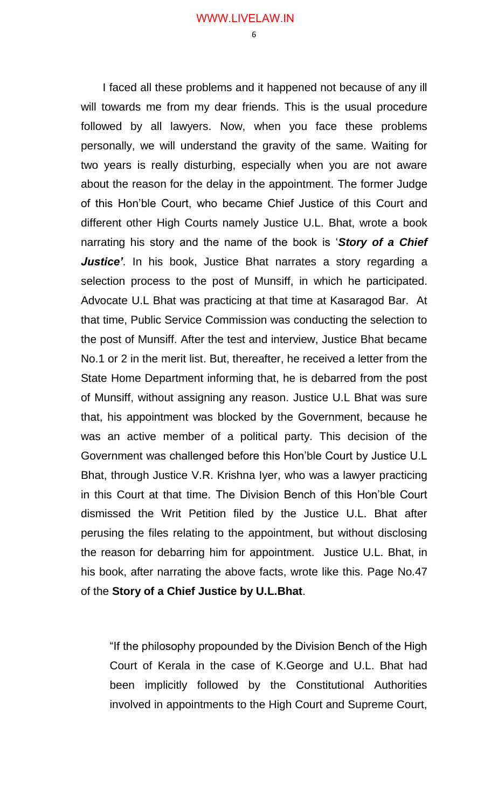I faced all these problems and it happened not because of any ill will towards me from my dear friends. This is the usual procedure followed by all lawyers. Now, when you face these problems personally, we will understand the gravity of the same. Waiting for two years is really disturbing, especially when you are not aware about the reason for the delay in the appointment. The former Judge of this Hon'ble Court, who became Chief Justice of this Court and different other High Courts namely Justice U.L. Bhat, wrote a book narrating his story and the name of the book is '*Story of a Chief Justice'*. In his book, Justice Bhat narrates a story regarding a selection process to the post of Munsiff, in which he participated. Advocate U.L Bhat was practicing at that time at Kasaragod Bar. At that time, Public Service Commission was conducting the selection to the post of Munsiff. After the test and interview, Justice Bhat became No.1 or 2 in the merit list. But, thereafter, he received a letter from the State Home Department informing that, he is debarred from the post of Munsiff, without assigning any reason. Justice U.L Bhat was sure that, his appointment was blocked by the Government, because he was an active member of a political party. This decision of the Government was challenged before this Hon'ble Court by Justice U.L Bhat, through Justice V.R. Krishna Iyer, who was a lawyer practicing in this Court at that time. The Division Bench of this Hon'ble Court dismissed the Writ Petition filed by the Justice U.L. Bhat after perusing the files relating to the appointment, but without disclosing the reason for debarring him for appointment. Justice U.L. Bhat, in his book, after narrating the above facts, wrote like this. Page No.47 of the **Story of a Chief Justice by U.L.Bhat**.

"If the philosophy propounded by the Division Bench of the High Court of Kerala in the case of K.George and U.L. Bhat had been implicitly followed by the Constitutional Authorities involved in appointments to the High Court and Supreme Court,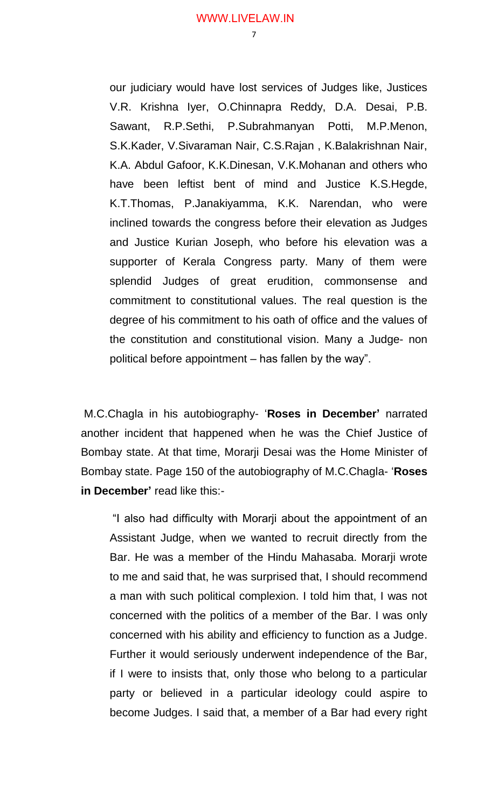our judiciary would have lost services of Judges like, Justices V.R. Krishna Iyer, O.Chinnapra Reddy, D.A. Desai, P.B. Sawant, R.P.Sethi, P.Subrahmanyan Potti, M.P.Menon, S.K.Kader, V.Sivaraman Nair, C.S.Rajan , K.Balakrishnan Nair, K.A. Abdul Gafoor, K.K.Dinesan, V.K.Mohanan and others who have been leftist bent of mind and Justice K.S.Hegde, K.T.Thomas, P.Janakiyamma, K.K. Narendan, who were inclined towards the congress before their elevation as Judges and Justice Kurian Joseph, who before his elevation was a supporter of Kerala Congress party. Many of them were splendid Judges of great erudition, commonsense and commitment to constitutional values. The real question is the degree of his commitment to his oath of office and the values of the constitution and constitutional vision. Many a Judge- non political before appointment – has fallen by the way".

M.C.Chagla in his autobiography- '**Roses in December'** narrated another incident that happened when he was the Chief Justice of Bombay state. At that time, Morarji Desai was the Home Minister of Bombay state. Page 150 of the autobiography of M.C.Chagla- '**Roses in December'** read like this:-

"I also had difficulty with Morarji about the appointment of an Assistant Judge, when we wanted to recruit directly from the Bar. He was a member of the Hindu Mahasaba. Morarji wrote to me and said that, he was surprised that, I should recommend a man with such political complexion. I told him that, I was not concerned with the politics of a member of the Bar. I was only concerned with his ability and efficiency to function as a Judge. Further it would seriously underwent independence of the Bar, if I were to insists that, only those who belong to a particular party or believed in a particular ideology could aspire to become Judges. I said that, a member of a Bar had every right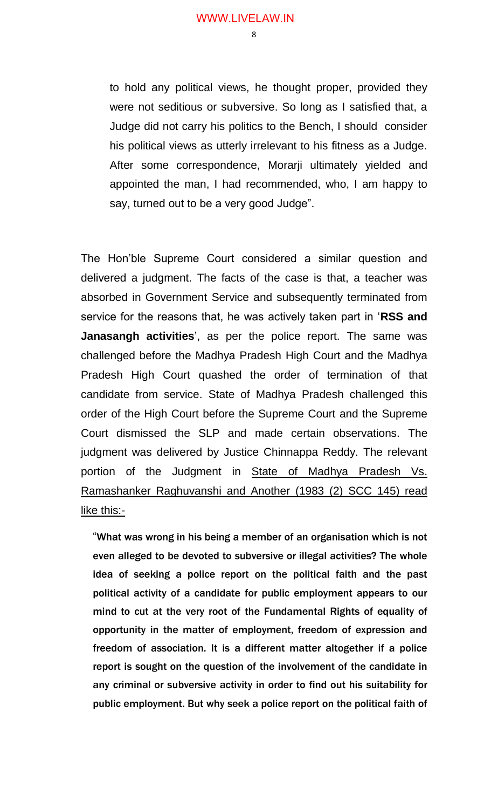to hold any political views, he thought proper, provided they were not seditious or subversive. So long as I satisfied that, a Judge did not carry his politics to the Bench, I should consider his political views as utterly irrelevant to his fitness as a Judge. After some correspondence, Morarji ultimately yielded and appointed the man, I had recommended, who, I am happy to say, turned out to be a very good Judge".

The Hon'ble Supreme Court considered a similar question and delivered a judgment. The facts of the case is that, a teacher was absorbed in Government Service and subsequently terminated from service for the reasons that, he was actively taken part in '**RSS and Janasangh activities**', as per the police report. The same was challenged before the Madhya Pradesh High Court and the Madhya Pradesh High Court quashed the order of termination of that candidate from service. State of Madhya Pradesh challenged this order of the High Court before the Supreme Court and the Supreme Court dismissed the SLP and made certain observations. The judgment was delivered by Justice Chinnappa Reddy. The relevant portion of the Judgment in State of Madhya Pradesh Vs. Ramashanker Raghuvanshi and Another (1983 (2) SCC 145) read like this:-

"What was wrong in his being a member of an organisation which is not even alleged to be devoted to subversive or illegal activities? The whole idea of seeking a police report on the political faith and the past political activity of a candidate for public employment appears to our mind to cut at the very root of the Fundamental Rights of equality of opportunity in the matter of employment, freedom of expression and freedom of association. It is a different matter altogether if a police report is sought on the question of the involvement of the candidate in any criminal or subversive activity in order to find out his suitability for public employment. But why seek a police report on the political faith of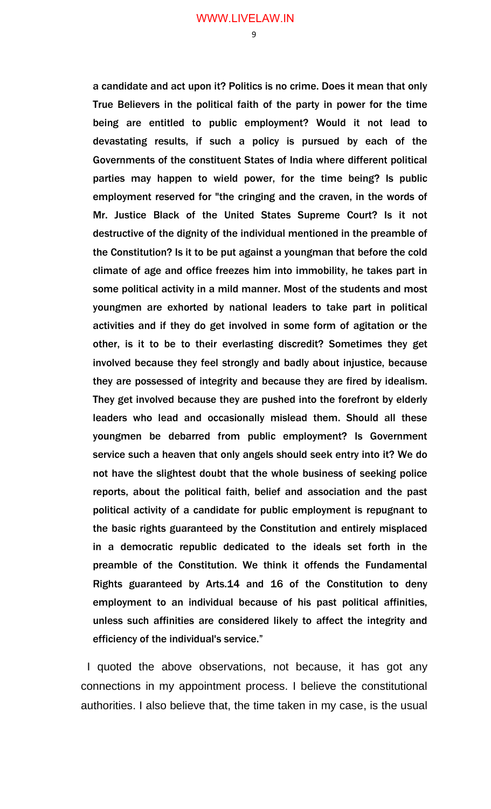a candidate and act upon it? Politics is no crime. Does it mean that only True Believers in the political faith of the party in power for the time being are entitled to public employment? Would it not lead to devastating results, if such a policy is pursued by each of the Governments of the constituent States of India where different political parties may happen to wield power, for the time being? Is public employment reserved for "the cringing and the craven, in the words of Mr. Justice Black of the United States Supreme Court? Is it not destructive of the dignity of the individual mentioned in the preamble of the Constitution? Is it to be put against a youngman that before the cold climate of age and office freezes him into immobility, he takes part in some political activity in a mild manner. Most of the students and most youngmen are exhorted by national leaders to take part in political activities and if they do get involved in some form of agitation or the other, is it to be to their everlasting discredit? Sometimes they get involved because they feel strongly and badly about injustice, because they are possessed of integrity and because they are fired by idealism. They get involved because they are pushed into the forefront by elderly leaders who lead and occasionally mislead them. Should all these youngmen be debarred from public employment? Is Government service such a heaven that only angels should seek entry into it? We do not have the slightest doubt that the whole business of seeking police reports, about the political faith, belief and association and the past political activity of a candidate for public employment is repugnant to the basic rights guaranteed by the Constitution and entirely misplaced in a democratic republic dedicated to the ideals set forth in the preamble of the Constitution. We think it offends the Fundamental Rights guaranteed by Arts.14 and 16 of the Constitution to deny employment to an individual because of his past political affinities, unless such affinities are considered likely to affect the integrity and efficiency of the individual's service."

 I quoted the above observations, not because, it has got any connections in my appointment process. I believe the constitutional authorities. I also believe that, the time taken in my case, is the usual